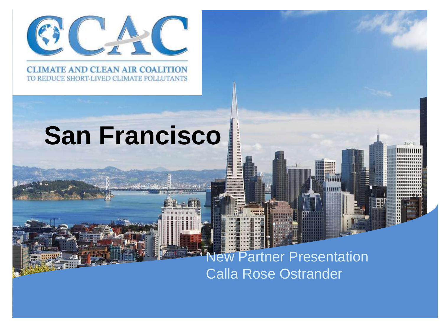

#### **CLIMATE AND CLEAN AIR COALITION** TO REDUCE SHORT-LIVED CLIMATE POLLUTANTS

# **San Francisco**

### ew Partner Presentation Calla Rose Ostrander

**THUR** 

.<br>.<br>.<br>.<br>.

**BEERE**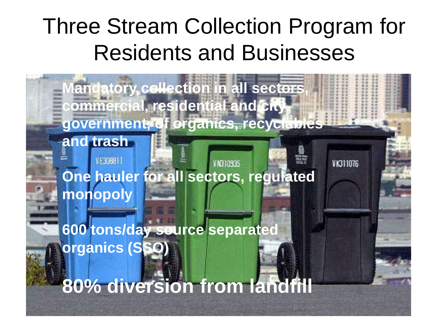## Three Stream Collection Program for Residents and Businesses

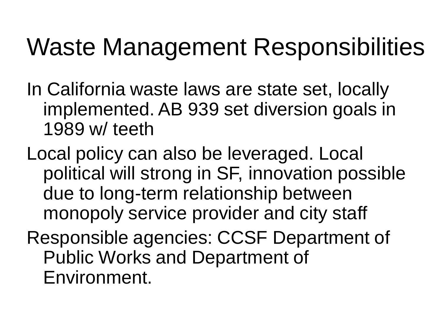## Waste Management Responsibilities

- In California waste laws are state set, locally implemented. AB 939 set diversion goals in 1989 w/ teeth
- Local policy can also be leveraged. Local political will strong in SF, innovation possible due to long-term relationship between monopoly service provider and city staff
- Responsible agencies: CCSF Department of Public Works and Department of Environment.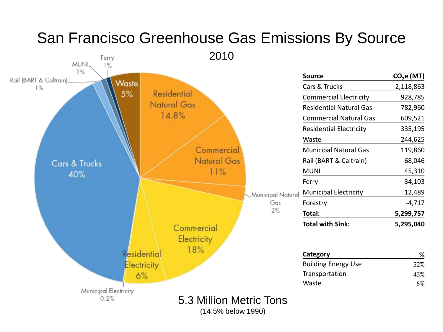

(14.5% below 1990)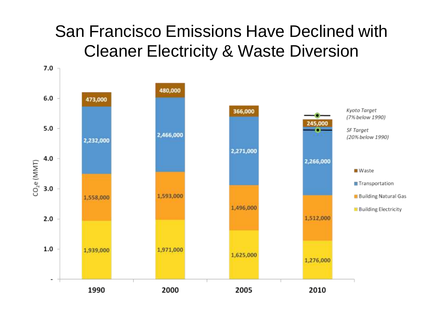### San Francisco Emissions Have Declined with Cleaner Electricity & Waste Diversion

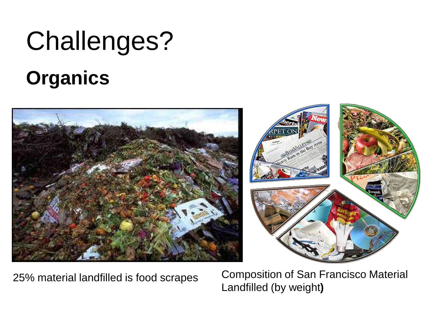# Challenges?

## **Organics**





25% material landfilled is food scrapes

Composition of San Francisco Material Landfilled (by weight**)**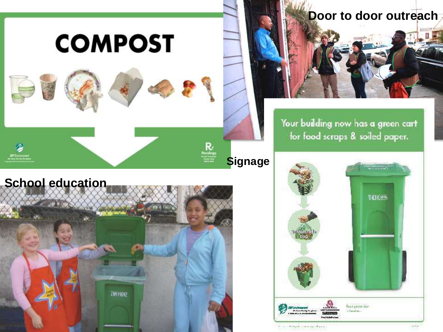

### **Door to door outreach**

Your building now has a green cart for food scraps & soiled paper.

**School education** 



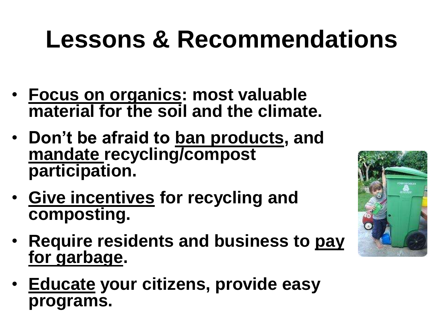# **Lessons & Recommendations**

- **Focus on organics: most valuable material for the soil and the climate.**
- **Don't be afraid to ban products, and mandate recycling/compost participation.**
- **Give incentives for recycling and composting.**
- **Require residents and business to pay for garbage.**
- **Educate your citizens, provide easy programs.**